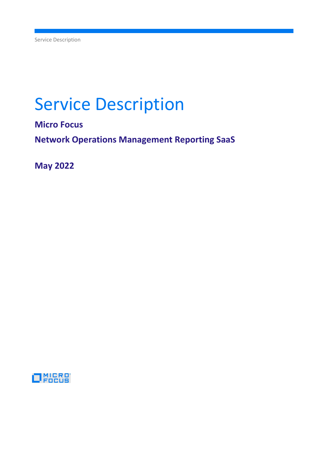# Service Description

Micro Focus

Network Operations Management Reporting SaaS

May 2022

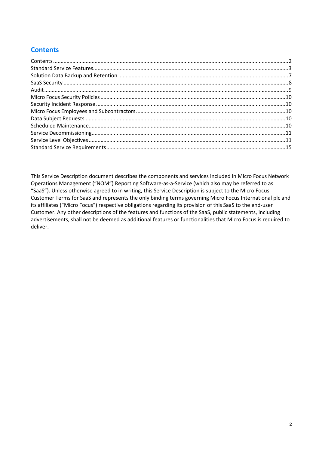# **Contents**

This Service Description document describes the components and services included in Micro Focus Network Operations Management ("NOM") Reporting Software-as-a-Service (which also may be referred to as "SaaS"). Unless otherwise agreed to in writing, this Service Description is subject to the Micro Focus Customer Terms for SaaS and represents the only binding terms governing Micro Focus International plc and its affiliates ("Micro Focus") respective obligations regarding its provision of this SaaS to the end-user Customer. Any other descriptions of the features and functions of the SaaS, public statements, including advertisements, shall not be deemed as additional features or functionalities that Micro Focus is required to deliver.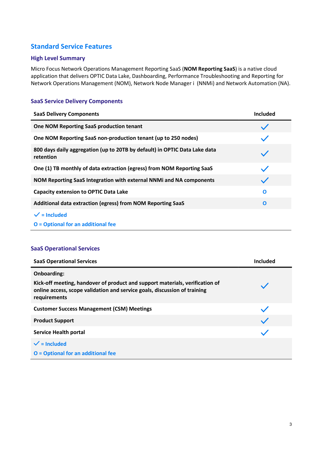# Standard Service Features

## High Level Summary

Micro Focus Network Operations Management Reporting SaaS (NOM Reporting SaaS) is a native cloud application that delivers OPTIC Data Lake, Dashboarding, Performance Troubleshooting and Reporting for Network Operations Management (NOM), Network Node Manager i (NNMi) and Network Automation (NA).

## SaaS Service Delivery Components

| <b>SaaS Delivery Components</b>                                                         | Included                 |
|-----------------------------------------------------------------------------------------|--------------------------|
| One NOM Reporting SaaS production tenant                                                | $\overline{\phantom{0}}$ |
| One NOM Reporting SaaS non-production tenant (up to 250 nodes)                          |                          |
| 800 days daily aggregation (up to 20TB by default) in OPTIC Data Lake data<br>retention |                          |
| One (1) TB monthly of data extraction (egress) from NOM Reporting SaaS                  |                          |
| NOM Reporting SaaS Integration with external NNMi and NA components                     | $\checkmark$             |
| <b>Capacity extension to OPTIC Data Lake</b>                                            | $\mathbf 0$              |
| Additional data extraction (egress) from NOM Reporting SaaS                             | $\mathbf 0$              |
| $\checkmark$ = Included<br><b>O</b> = Optional for an additional fee                    |                          |

## SaaS Operational Services

| <b>SaaS Operational Services</b>                                                                                                                                                                | Included |
|-------------------------------------------------------------------------------------------------------------------------------------------------------------------------------------------------|----------|
| <b>Onboarding:</b><br>Kick-off meeting, handover of product and support materials, verification of<br>online access, scope validation and service goals, discussion of training<br>requirements |          |
| <b>Customer Success Management (CSM) Meetings</b>                                                                                                                                               |          |
| <b>Product Support</b>                                                                                                                                                                          |          |
| Service Health portal                                                                                                                                                                           |          |
| $\checkmark$ = Included<br><b>O</b> = Optional for an additional fee                                                                                                                            |          |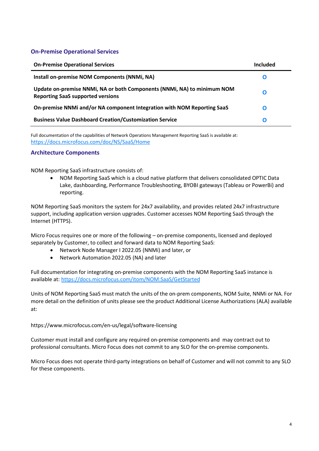## On-Premise Operational Services

| <b>On-Premise Operational Services</b>                                                                              | Included |
|---------------------------------------------------------------------------------------------------------------------|----------|
| Install on-premise NOM Components (NNMi, NA)                                                                        | O        |
| Update on-premise NNMi, NA or both Components (NNMi, NA) to minimum NOM<br><b>Reporting SaaS supported versions</b> | O        |
| On-premise NNMi and/or NA component Integration with NOM Reporting SaaS                                             | O        |
| <b>Business Value Dashboard Creation/Customization Service</b>                                                      | O        |

Full documentation of the capabilities of Network Operations Management Reporting SaaS is available at: https://docs.microfocus.com/doc/NS/SaaS/Home

## Architecture Components

NOM Reporting SaaS infrastructure consists of:

 NOM Reporting SaaS which is a cloud native platform that delivers consolidated OPTIC Data Lake, dashboarding, Performance Troubleshooting, BYOBI gateways (Tableau or PowerBi) and reporting.

NOM Reporting SaaS monitors the system for 24x7 availability, and provides related 24x7 infrastructure support, including application version upgrades. Customer accesses NOM Reporting SaaS through the Internet (HTTPS).

Micro Focus requires one or more of the following – on-premise components, licensed and deployed separately by Customer, to collect and forward data to NOM Reporting SaaS:

- Network Node Manager I 2022.05 (NNMi) and later, or
- Network Automation 2022.05 (NA) and later

Full documentation for integrating on-premise components with the NOM Reporting SaaS instance is available at: https://docs.microfocus.com/itom/NOM:SaaS/GetStarted

Units of NOM Reporting SaaS must match the units of the on-prem components, NOM Suite, NNMi or NA. For more detail on the definition of units please see the product Additional License Authorizations (ALA) available at:

https://www.microfocus.com/en-us/legal/software-licensing

Customer must install and configure any required on-premise components and may contract out to professional consultants. Micro Focus does not commit to any SLO for the on-premise components.

Micro Focus does not operate third-party integrations on behalf of Customer and will not commit to any SLO for these components.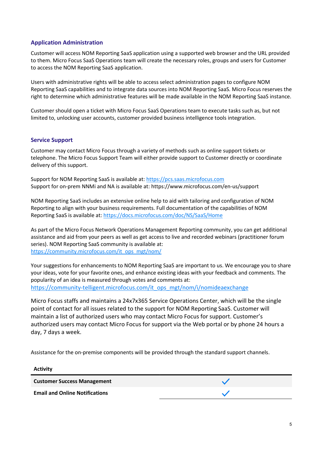## Application Administration

Customer will access NOM Reporting SaaS application using a supported web browser and the URL provided to them. Micro Focus SaaS Operations team will create the necessary roles, groups and users for Customer to access the NOM Reporting SaaS application.

Users with administrative rights will be able to access select administration pages to configure NOM Reporting SaaS capabilities and to integrate data sources into NOM Reporting SaaS. Micro Focus reserves the right to determine which administrative features will be made available in the NOM Reporting SaaS instance.

Customer should open a ticket with Micro Focus SaaS Operations team to execute tasks such as, but not limited to, unlocking user accounts, customer provided business intelligence tools integration.

#### Service Support

Customer may contact Micro Focus through a variety of methods such as online support tickets or telephone. The Micro Focus Support Team will either provide support to Customer directly or coordinate delivery of this support.

Support for NOM Reporting SaaS is available at: https://pcs.saas.microfocus.com Support for on-prem NNMi and NA is available at: https://www.microfocus.com/en-us/support

NOM Reporting SaaS includes an extensive online help to aid with tailoring and configuration of NOM Reporting to align with your business requirements. Full documentation of the capabilities of NOM Reporting SaaS is available at: https://docs.microfocus.com/doc/NS/SaaS/Home

As part of the Micro Focus Network Operations Management Reporting community, you can get additional assistance and aid from your peers as well as get access to live and recorded webinars (practitioner forum series). NOM Reporting SaaS community is available at: https://community.microfocus.com/it\_ops\_mgt/nom/

Your suggestions for enhancements to NOM Reporting SaaS are important to us. We encourage you to share your ideas, vote for your favorite ones, and enhance existing ideas with your feedback and comments. The popularity of an idea is measured through votes and comments at: https://community-telligent.microfocus.com/it\_ops\_mgt/nom/i/nomideaexchange

Micro Focus staffs and maintains a 24x7x365 Service Operations Center, which will be the single point of contact for all issues related to the support for NOM Reporting SaaS. Customer will maintain a list of authorized users who may contact Micro Focus for support. Customer's authorized users may contact Micro Focus for support via the Web portal or by phone 24 hours a day, 7 days a week.

Assistance for the on-premise components will be provided through the standard support channels.

| <b>Activity</b>                       |  |
|---------------------------------------|--|
| <b>Customer Success Management</b>    |  |
| <b>Email and Online Notifications</b> |  |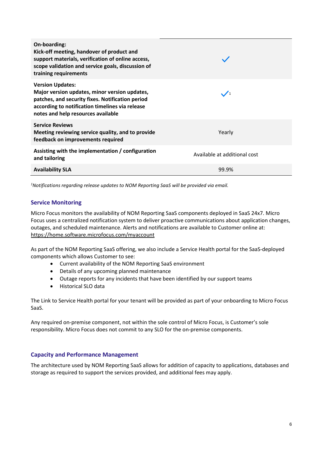| On-boarding:<br>Kick-off meeting, handover of product and<br>support materials, verification of online access,<br>scope validation and service goals, discussion of<br>training requirements                          |                              |
|-----------------------------------------------------------------------------------------------------------------------------------------------------------------------------------------------------------------------|------------------------------|
| <b>Version Updates:</b><br>Major version updates, minor version updates,<br>patches, and security fixes. Notification period<br>according to notification timelines via release<br>notes and help resources available | $\sqrt{1}$                   |
| <b>Service Reviews</b><br>Meeting reviewing service quality, and to provide<br>feedback on improvements required                                                                                                      | Yearly                       |
| Assisting with the implementation / configuration<br>and tailoring                                                                                                                                                    | Available at additional cost |
| <b>Availability SLA</b>                                                                                                                                                                                               | 99.9%                        |

<sup>1</sup>Notifications regarding release updates to NOM Reporting SaaS will be provided via email.

## Service Monitoring

Micro Focus monitors the availability of NOM Reporting SaaS components deployed in SaaS 24x7. Micro Focus uses a centralized notification system to deliver proactive communications about application changes, outages, and scheduled maintenance. Alerts and notifications are available to Customer online at: https://home.software.microfocus.com/myaccount

As part of the NOM Reporting SaaS offering, we also include a Service Health portal for the SaaS-deployed components which allows Customer to see:

- Current availability of the NOM Reporting SaaS environment
- Details of any upcoming planned maintenance
- Outage reports for any incidents that have been identified by our support teams
- **•** Historical SLO data

The Link to Service Health portal for your tenant will be provided as part of your onboarding to Micro Focus SaaS.

Any required on-premise component, not within the sole control of Micro Focus, is Customer's sole responsibility. Micro Focus does not commit to any SLO for the on-premise components.

## Capacity and Performance Management

The architecture used by NOM Reporting SaaS allows for addition of capacity to applications, databases and storage as required to support the services provided, and additional fees may apply.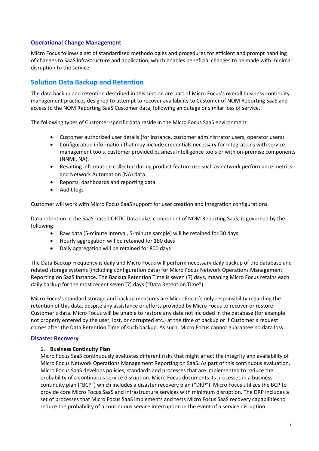## Operational Change Management

Micro Focus follows a set of standardized methodologies and procedures for efficient and prompt handling of changes to SaaS infrastructure and application, which enables beneficial changes to be made with minimal disruption to the service.

# Solution Data Backup and Retention

The data backup and retention described in this section are part of Micro Focus's overall business continuity management practices designed to attempt to recover availability to Customer of NOM Reporting SaaS and access to the NOM Reporting SaaS Customer data, following an outage or similar loss of service.

The following types of Customer-specific data reside in the Micro Focus SaaS environment:

- Customer authorized user details (for instance, customer administrator users, operator users)
- Configuration information that may include credentials necessary for integrations with service management tools, customer provided business intelligence tools or with on-premise components (NNMi, NA).
- Resulting information collected during product feature use such as network performance metrics and Network Automation (NA) data.
- Reports, dashboards and reporting data
- Audit logs

Customer will work with Micro Focus SaaS support for user creation and integration configurations.

Data retention in the SaaS-based OPTIC Data Lake, component of NOM Reporting SaaS, is governed by the following:

- Raw data (5-minute interval, 5-minute sample) will be retained for 30 days
- Hourly aggregation will be retained for 180 days
- Daily aggregation will be retained for 800 days

The Data Backup Frequency is daily and Micro Focus will perform necessary daily backup of the database and related storage systems (including configuration data) for Micro Focus Network Operations Management Reporting on SaaS instance. The Backup Retention Time is seven (7) days, meaning Micro Focus retains each daily backup for the most recent seven (7) days ("Data Retention Time").

Micro Focus's standard storage and backup measures are Micro Focus's only responsibility regarding the retention of this data, despite any assistance or efforts provided by Micro Focus to recover or restore Customer's data. Micro Focus will be unable to restore any data not included in the database (for example not properly entered by the user, lost, or corrupted etc.) at the time of backup or if Customer´s request comes after the Data Retention Time of such backup. As such, Micro Focus cannot guarantee no data loss.

#### Disaster Recovery

## 1. Business Continuity Plan

Micro Focus SaaS continuously evaluates different risks that might affect the integrity and availability of Micro Focus Network Operations Management Reporting on SaaS. As part of this continuous evaluation, Micro Focus SaaS develops policies, standards and processes that are implemented to reduce the probability of a continuous service disruption. Micro Focus documents its processes in a business continuity plan ("BCP") which includes a disaster recovery plan ("DRP"). Micro Focus utilizes the BCP to provide core Micro Focus SaaS and infrastructure services with minimum disruption. The DRP includes a set of processes that Micro Focus SaaS implements and tests Micro Focus SaaS recovery capabilities to reduce the probability of a continuous service interruption in the event of a service disruption.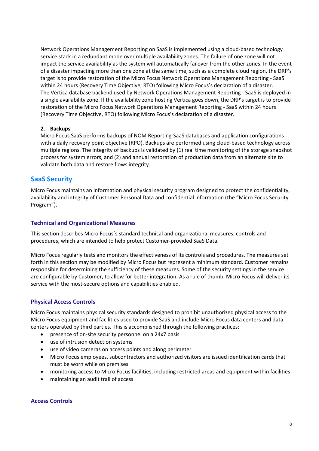Network Operations Management Reporting on SaaS is implemented using a cloud-based technology service stack in a redundant mode over multiple availability zones. The failure of one zone will not impact the service availability as the system will automatically failover from the other zones. In the event of a disaster impacting more than one zone at the same time, such as a complete cloud region, the DRP's target is to provide restoration of the Micro Focus Network Operations Management Reporting - SaaS within 24 hours (Recovery Time Objective, RTO) following Micro Focus's declaration of a disaster. The Vertica database backend used by Network Operations Management Reporting - SaaS is deployed in a single availability zone. If the availability zone hosting Vertica goes down, the DRP's target is to provide restoration of the Micro Focus Network Operations Management Reporting - SaaS within 24 hours (Recovery Time Objective, RTO) following Micro Focus's declaration of a disaster.

#### 2. Backups

Micro Focus SaaS performs backups of NOM Reporting-SaaS databases and application configurations with a daily recovery point objective (RPO). Backups are performed using cloud-based technology across multiple regions. The integrity of backups is validated by (1) real time monitoring of the storage snapshot process for system errors, and (2) and annual restoration of production data from an alternate site to validate both data and restore flows integrity.

## SaaS Security

Micro Focus maintains an information and physical security program designed to protect the confidentiality, availability and integrity of Customer Personal Data and confidential information (the "Micro Focus Security Program").

## Technical and Organizational Measures

This section describes Micro Focus´s standard technical and organizational measures, controls and procedures, which are intended to help protect Customer-provided SaaS Data.

Micro Focus regularly tests and monitors the effectiveness of its controls and procedures. The measures set forth in this section may be modified by Micro Focus but represent a minimum standard. Customer remains responsible for determining the sufficiency of these measures. Some of the security settings in the service are configurable by Customer, to allow for better integration. As a rule of thumb, Micro Focus will deliver its service with the most-secure options and capabilities enabled.

## Physical Access Controls

Micro Focus maintains physical security standards designed to prohibit unauthorized physical access to the Micro Focus equipment and facilities used to provide SaaS and include Micro Focus data centers and data centers operated by third parties. This is accomplished through the following practices:

- presence of on-site security personnel on a 24x7 basis
- use of intrusion detection systems
- use of video cameras on access points and along perimeter
- Micro Focus employees, subcontractors and authorized visitors are issued identification cards that must be worn while on premises
- monitoring access to Micro Focus facilities, including restricted areas and equipment within facilities
- maintaining an audit trail of access

## Access Controls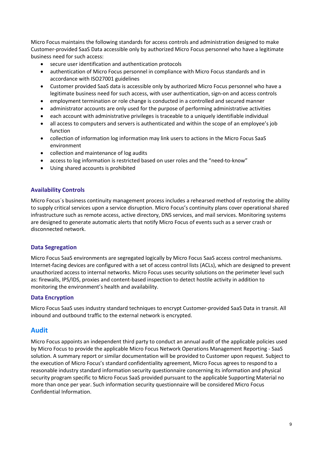Micro Focus maintains the following standards for access controls and administration designed to make Customer-provided SaaS Data accessible only by authorized Micro Focus personnel who have a legitimate business need for such access:

- secure user identification and authentication protocols
- authentication of Micro Focus personnel in compliance with Micro Focus standards and in accordance with ISO27001 guidelines
- Customer provided SaaS data is accessible only by authorized Micro Focus personnel who have a legitimate business need for such access, with user authentication, sign-on and access controls
- employment termination or role change is conducted in a controlled and secured manner
- administrator accounts are only used for the purpose of performing administrative activities
- each account with administrative privileges is traceable to a uniquely identifiable individual
- all access to computers and servers is authenticated and within the scope of an employee's job function
- collection of information log information may link users to actions in the Micro Focus SaaS environment
- collection and maintenance of log audits
- access to log information is restricted based on user roles and the "need-to-know"
- Using shared accounts is prohibited

## Availability Controls

Micro Focus´s business continuity management process includes a rehearsed method of restoring the ability to supply critical services upon a service disruption. Micro Focus's continuity plans cover operational shared infrastructure such as remote access, active directory, DNS services, and mail services. Monitoring systems are designed to generate automatic alerts that notify Micro Focus of events such as a server crash or disconnected network.

## Data Segregation

Micro Focus SaaS environments are segregated logically by Micro Focus SaaS access control mechanisms. Internet-facing devices are configured with a set of access control lists (ACLs), which are designed to prevent unauthorized access to internal networks. Micro Focus uses security solutions on the perimeter level such as: firewalls, IPS/IDS, proxies and content-based inspection to detect hostile activity in addition to monitoring the environment's health and availability.

## Data Encryption

Micro Focus SaaS uses industry standard techniques to encrypt Customer-provided SaaS Data in transit. All inbound and outbound traffic to the external network is encrypted.

## Audit

Micro Focus appoints an independent third party to conduct an annual audit of the applicable policies used by Micro Focus to provide the applicable Micro Focus Network Operations Management Reporting - SaaS solution. A summary report or similar documentation will be provided to Customer upon request. Subject to the execution of Micro Focus's standard confidentiality agreement, Micro Focus agrees to respond to a reasonable industry standard information security questionnaire concerning its information and physical security program specific to Micro Focus SaaS provided pursuant to the applicable Supporting Material no more than once per year. Such information security questionnaire will be considered Micro Focus Confidential Information.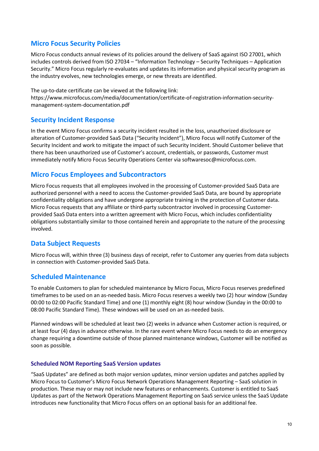# Micro Focus Security Policies

Micro Focus conducts annual reviews of its policies around the delivery of SaaS against ISO 27001, which includes controls derived from ISO 27034 – "Information Technology – Security Techniques – Application Security." Micro Focus regularly re-evaluates and updates its information and physical security program as the industry evolves, new technologies emerge, or new threats are identified.

The up-to-date certificate can be viewed at the following link:

https://www.microfocus.com/media/documentation/certificate-of-registration-information-securitymanagement-system-documentation.pdf

## Security Incident Response

In the event Micro Focus confirms a security incident resulted in the loss, unauthorized disclosure or alteration of Customer-provided SaaS Data ("Security Incident"), Micro Focus will notify Customer of the Security Incident and work to mitigate the impact of such Security Incident. Should Customer believe that there has been unauthorized use of Customer's account, credentials, or passwords, Customer must immediately notify Micro Focus Security Operations Center via softwaresoc@microfocus.com.

## Micro Focus Employees and Subcontractors

Micro Focus requests that all employees involved in the processing of Customer-provided SaaS Data are authorized personnel with a need to access the Customer-provided SaaS Data, are bound by appropriate confidentiality obligations and have undergone appropriate training in the protection of Customer data. Micro Focus requests that any affiliate or third-party subcontractor involved in processing Customerprovided SaaS Data enters into a written agreement with Micro Focus, which includes confidentiality obligations substantially similar to those contained herein and appropriate to the nature of the processing involved.

## Data Subject Requests

Micro Focus will, within three (3) business days of receipt, refer to Customer any queries from data subjects in connection with Customer-provided SaaS Data.

## Scheduled Maintenance

To enable Customers to plan for scheduled maintenance by Micro Focus, Micro Focus reserves predefined timeframes to be used on an as-needed basis. Micro Focus reserves a weekly two (2) hour window (Sunday 00:00 to 02:00 Pacific Standard Time) and one (1) monthly eight (8) hour window (Sunday in the 00:00 to 08:00 Pacific Standard Time). These windows will be used on an as-needed basis.

Planned windows will be scheduled at least two (2) weeks in advance when Customer action is required, or at least four (4) days in advance otherwise. In the rare event where Micro Focus needs to do an emergency change requiring a downtime outside of those planned maintenance windows, Customer will be notified as soon as possible.

## Scheduled NOM Reporting SaaS Version updates

"SaaS Updates" are defined as both major version updates, minor version updates and patches applied by Micro Focus to Customer's Micro Focus Network Operations Management Reporting – SaaS solution in production. These may or may not include new features or enhancements. Customer is entitled to SaaS Updates as part of the Network Operations Management Reporting on SaaS service unless the SaaS Update introduces new functionality that Micro Focus offers on an optional basis for an additional fee.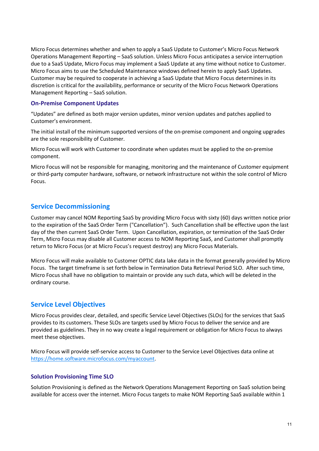Micro Focus determines whether and when to apply a SaaS Update to Customer's Micro Focus Network Operations Management Reporting – SaaS solution. Unless Micro Focus anticipates a service interruption due to a SaaS Update, Micro Focus may implement a SaaS Update at any time without notice to Customer. Micro Focus aims to use the Scheduled Maintenance windows defined herein to apply SaaS Updates. Customer may be required to cooperate in achieving a SaaS Update that Micro Focus determines in its discretion is critical for the availability, performance or security of the Micro Focus Network Operations Management Reporting – SaaS solution.

#### On-Premise Component Updates

"Updates" are defined as both major version updates, minor version updates and patches applied to Customer's environment.

The initial install of the minimum supported versions of the on-premise component and ongoing upgrades are the sole responsibility of Customer.

Micro Focus will work with Customer to coordinate when updates must be applied to the on-premise component.

Micro Focus will not be responsible for managing, monitoring and the maintenance of Customer equipment or third-party computer hardware, software, or network infrastructure not within the sole control of Micro Focus.

## Service Decommissioning

Customer may cancel NOM Reporting SaaS by providing Micro Focus with sixty (60) days written notice prior to the expiration of the SaaS Order Term ("Cancellation"). Such Cancellation shall be effective upon the last day of the then current SaaS Order Term. Upon Cancellation, expiration, or termination of the SaaS Order Term, Micro Focus may disable all Customer access to NOM Reporting SaaS, and Customer shall promptly return to Micro Focus (or at Micro Focus's request destroy) any Micro Focus Materials.

Micro Focus will make available to Customer OPTIC data lake data in the format generally provided by Micro Focus. The target timeframe is set forth below in Termination Data Retrieval Period SLO. After such time, Micro Focus shall have no obligation to maintain or provide any such data, which will be deleted in the ordinary course.

## Service Level Objectives

Micro Focus provides clear, detailed, and specific Service Level Objectives (SLOs) for the services that SaaS provides to its customers. These SLOs are targets used by Micro Focus to deliver the service and are provided as guidelines. They in no way create a legal requirement or obligation for Micro Focus to always meet these objectives.

Micro Focus will provide self-service access to Customer to the Service Level Objectives data online at https://home.software.microfocus.com/myaccount.

## Solution Provisioning Time SLO

Solution Provisioning is defined as the Network Operations Management Reporting on SaaS solution being available for access over the internet. Micro Focus targets to make NOM Reporting SaaS available within 1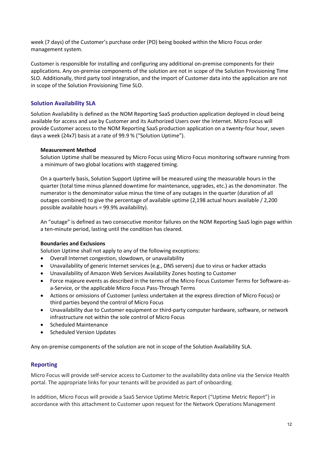week (7 days) of the Customer's purchase order (PO) being booked within the Micro Focus order management system.

Customer is responsible for installing and configuring any additional on-premise components for their applications. Any on-premise components of the solution are not in scope of the Solution Provisioning Time SLO. Additionally, third party tool integration, and the import of Customer data into the application are not in scope of the Solution Provisioning Time SLO.

## Solution Availability SLA

Solution Availability is defined as the NOM Reporting SaaS production application deployed in cloud being available for access and use by Customer and its Authorized Users over the Internet. Micro Focus will provide Customer access to the NOM Reporting SaaS production application on a twenty-four hour, seven days a week (24x7) basis at a rate of 99.9 % ("Solution Uptime").

#### Measurement Method

Solution Uptime shall be measured by Micro Focus using Micro Focus monitoring software running from a minimum of two global locations with staggered timing.

On a quarterly basis, Solution Support Uptime will be measured using the measurable hours in the quarter (total time minus planned downtime for maintenance, upgrades, etc.) as the denominator. The numerator is the denominator value minus the time of any outages in the quarter (duration of all outages combined) to give the percentage of available uptime (2,198 actual hours available / 2,200 possible available hours = 99.9% availability).

An "outage" is defined as two consecutive monitor failures on the NOM Reporting SaaS login page within a ten-minute period, lasting until the condition has cleared.

#### Boundaries and Exclusions

Solution Uptime shall not apply to any of the following exceptions:

- Overall Internet congestion, slowdown, or unavailability
- Unavailability of generic Internet services (e.g., DNS servers) due to virus or hacker attacks
- Unavailability of Amazon Web Services Availability Zones hosting to Customer
- Force majeure events as described in the terms of the Micro Focus Customer Terms for Software-asa-Service, or the applicable Micro Focus Pass-Through Terms
- Actions or omissions of Customer (unless undertaken at the express direction of Micro Focus) or third parties beyond the control of Micro Focus
- Unavailability due to Customer equipment or third-party computer hardware, software, or network infrastructure not within the sole control of Micro Focus
- Scheduled Maintenance
- Scheduled Version Updates

Any on-premise components of the solution are not in scope of the Solution Availability SLA.

## Reporting

Micro Focus will provide self-service access to Customer to the availability data online via the Service Health portal. The appropriate links for your tenants will be provided as part of onboarding.

In addition, Micro Focus will provide a SaaS Service Uptime Metric Report ("Uptime Metric Report") in accordance with this attachment to Customer upon request for the Network Operations Management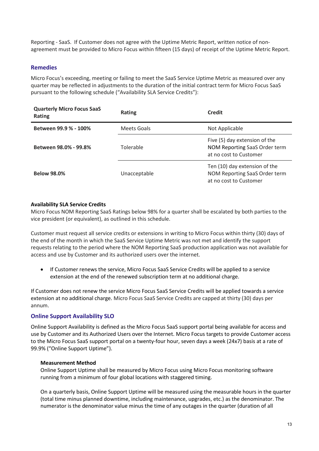Reporting - SaaS. If Customer does not agree with the Uptime Metric Report, written notice of nonagreement must be provided to Micro Focus within fifteen (15 days) of receipt of the Uptime Metric Report.

#### Remedies

Micro Focus's exceeding, meeting or failing to meet the SaaS Service Uptime Metric as measured over any quarter may be reflected in adjustments to the duration of the initial contract term for Micro Focus SaaS pursuant to the following schedule ("Availability SLA Service Credits"):

| <b>Quarterly Micro Focus SaaS</b><br>Rating | <b>Rating</b> | <b>Credit</b>                                                                            |
|---------------------------------------------|---------------|------------------------------------------------------------------------------------------|
| Between 99.9 % - 100%                       | Meets Goals   | Not Applicable                                                                           |
| Between 98.0% - 99.8%                       | Tolerable     | Five (5) day extension of the<br>NOM Reporting SaaS Order term<br>at no cost to Customer |
| <b>Below 98.0%</b>                          | Unacceptable  | Ten (10) day extension of the<br>NOM Reporting SaaS Order term<br>at no cost to Customer |

#### Availability SLA Service Credits

Micro Focus NOM Reporting SaaS Ratings below 98% for a quarter shall be escalated by both parties to the vice president (or equivalent), as outlined in this schedule.

Customer must request all service credits or extensions in writing to Micro Focus within thirty (30) days of the end of the month in which the SaaS Service Uptime Metric was not met and identify the support requests relating to the period where the NOM Reporting SaaS production application was not available for access and use by Customer and its authorized users over the internet.

 If Customer renews the service, Micro Focus SaaS Service Credits will be applied to a service extension at the end of the renewed subscription term at no additional charge.

If Customer does not renew the service Micro Focus SaaS Service Credits will be applied towards a service extension at no additional charge. Micro Focus SaaS Service Credits are capped at thirty (30) days per annum.

## Online Support Availability SLO

Online Support Availability is defined as the Micro Focus SaaS support portal being available for access and use by Customer and its Authorized Users over the Internet. Micro Focus targets to provide Customer access to the Micro Focus SaaS support portal on a twenty-four hour, seven days a week (24x7) basis at a rate of 99.9% ("Online Support Uptime").

#### Measurement Method

Online Support Uptime shall be measured by Micro Focus using Micro Focus monitoring software running from a minimum of four global locations with staggered timing.

On a quarterly basis, Online Support Uptime will be measured using the measurable hours in the quarter (total time minus planned downtime, including maintenance, upgrades, etc.) as the denominator. The numerator is the denominator value minus the time of any outages in the quarter (duration of all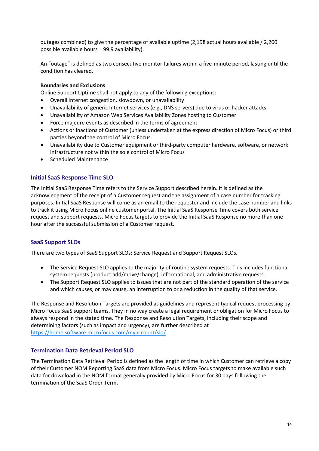outages combined) to give the percentage of available uptime (2,198 actual hours available / 2,200 possible available hours = 99.9 availability).

An "outage" is defined as two consecutive monitor failures within a five-minute period, lasting until the condition has cleared.

#### Boundaries and Exclusions

Online Support Uptime shall not apply to any of the following exceptions:

- Overall Internet congestion, slowdown, or unavailability
- Unavailability of generic Internet services (e.g., DNS servers) due to virus or hacker attacks
- Unavailability of Amazon Web Services Availability Zones hosting to Customer
- Force majeure events as described in the terms of agreement
- Actions or inactions of Customer (unless undertaken at the express direction of Micro Focus) or third parties beyond the control of Micro Focus
- Unavailability due to Customer equipment or third-party computer hardware, software, or network infrastructure not within the sole control of Micro Focus
- Scheduled Maintenance

## Initial SaaS Response Time SLO

The Initial SaaS Response Time refers to the Service Support described herein. It is defined as the acknowledgment of the receipt of a Customer request and the assignment of a case number for tracking purposes. Initial SaaS Response will come as an email to the requester and include the case number and links to track it using Micro Focus online customer portal. The Initial SaaS Response Time covers both service request and support requests. Micro Focus targets to provide the Initial SaaS Response no more than one hour after the successful submission of a Customer request.

## SaaS Support SLOs

There are two types of SaaS Support SLOs: Service Request and Support Request SLOs.

- The Service Request SLO applies to the majority of routine system requests. This includes functional system requests (product add/move/change), informational, and administrative requests.
- The Support Request SLO applies to issues that are not part of the standard operation of the service and which causes, or may cause, an interruption to or a reduction in the quality of that service.

The Response and Resolution Targets are provided as guidelines and represent typical request processing by Micro Focus SaaS support teams. They in no way create a legal requirement or obligation for Micro Focus to always respond in the stated time. The Response and Resolution Targets, including their scope and determining factors (such as impact and urgency), are further described at https://home.software.microfocus.com/myaccount/slo/.

#### Termination Data Retrieval Period SLO

The Termination Data Retrieval Period is defined as the length of time in which Customer can retrieve a copy of their Customer NOM Reporting SaaS data from Micro Focus. Micro Focus targets to make available such data for download in the NOM format generally provided by Micro Focus for 30 days following the termination of the SaaS Order Term.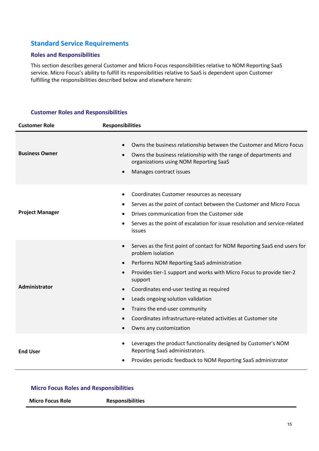# Standard Service Requirements

## Roles and Responsibilities

This section describes general Customer and Micro Focus responsibilities relative to NOM Reporting SaaS service. Micro Focus's ability to fulfill its responsibilities relative to SaaS is dependent upon Customer fulfilling the responsibilities described below and elsewhere herein:

## Customer Roles and Responsibilities

| <b>Customer Role</b>   | <b>Responsibilities</b>                                                                                                                                                                                                                                                                                                                                                                                                                                                                                                                               |
|------------------------|-------------------------------------------------------------------------------------------------------------------------------------------------------------------------------------------------------------------------------------------------------------------------------------------------------------------------------------------------------------------------------------------------------------------------------------------------------------------------------------------------------------------------------------------------------|
| <b>Business Owner</b>  | Owns the business relationship between the Customer and Micro Focus<br>$\bullet$<br>Owns the business relationship with the range of departments and<br>$\bullet$<br>organizations using NOM Reporting SaaS<br>Manages contract issues<br>$\bullet$                                                                                                                                                                                                                                                                                                   |
| <b>Project Manager</b> | Coordinates Customer resources as necessary<br>$\bullet$<br>Serves as the point of contact between the Customer and Micro Focus<br>$\bullet$<br>Drives communication from the Customer side<br>Serves as the point of escalation for issue resolution and service-related<br>$\bullet$<br><i>issues</i>                                                                                                                                                                                                                                               |
| Administrator          | Serves as the first point of contact for NOM Reporting SaaS end users for<br>$\bullet$<br>problem isolation<br>Performs NOM Reporting SaaS administration<br>$\bullet$<br>Provides tier-1 support and works with Micro Focus to provide tier-2<br>$\bullet$<br>support<br>Coordinates end-user testing as required<br>$\bullet$<br>Leads ongoing solution validation<br>$\bullet$<br>Trains the end-user community<br>$\bullet$<br>Coordinates infrastructure-related activities at Customer site<br>$\bullet$<br>Owns any customization<br>$\bullet$ |
| <b>End User</b>        | Leverages the product functionality designed by Customer's NOM<br>$\bullet$<br>Reporting SaaS administrators.<br>Provides periodic feedback to NOM Reporting SaaS administrator                                                                                                                                                                                                                                                                                                                                                                       |

## Micro Focus Roles and Responsibilities

| <b>Responsibilities</b><br><b>Micro Focus Role</b> |  |
|----------------------------------------------------|--|
|----------------------------------------------------|--|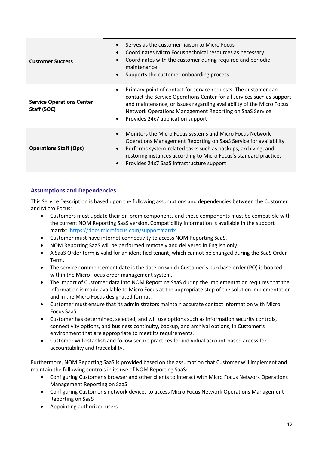| $\bullet$<br>$\bullet$<br><b>Customer Success</b><br>$\bullet$            | Serves as the customer liaison to Micro Focus<br>Coordinates Micro Focus technical resources as necessary<br>Coordinates with the customer during required and periodic<br>maintenance<br>Supports the customer onboarding process                                                                                |
|---------------------------------------------------------------------------|-------------------------------------------------------------------------------------------------------------------------------------------------------------------------------------------------------------------------------------------------------------------------------------------------------------------|
| $\bullet$<br><b>Service Operations Center</b><br>Staff (SOC)<br>$\bullet$ | Primary point of contact for service requests. The customer can<br>contact the Service Operations Center for all services such as support<br>and maintenance, or issues regarding availability of the Micro Focus<br>Network Operations Management Reporting on SaaS Service<br>Provides 24x7 application support |
| $\bullet$<br><b>Operations Staff (Ops)</b><br>$\bullet$<br>$\bullet$      | Monitors the Micro Focus systems and Micro Focus Network<br>Operations Management Reporting on SaaS Service for availability<br>Performs system-related tasks such as backups, archiving, and<br>restoring instances according to Micro Focus's standard practices<br>Provides 24x7 SaaS infrastructure support   |

## Assumptions and Dependencies

This Service Description is based upon the following assumptions and dependencies between the Customer and Micro Focus:

- Customers must update their on-prem components and these components must be compatible with the current NOM Reporting SaaS version. Compatibility information is available in the support matrix: https://docs.microfocus.com/supportmatrix
- Customer must have internet connectivity to access NOM Reporting SaaS.
- NOM Reporting SaaS will be performed remotely and delivered in English only.
- A SaaS Order term is valid for an identified tenant, which cannot be changed during the SaaS Order Term.
- The service commencement date is the date on which Customer´s purchase order (PO) is booked within the Micro Focus order management system.
- The import of Customer data into NOM Reporting SaaS during the implementation requires that the information is made available to Micro Focus at the appropriate step of the solution implementation and in the Micro Focus designated format.
- Customer must ensure that its administrators maintain accurate contact information with Micro Focus SaaS.
- Customer has determined, selected, and will use options such as information security controls, connectivity options, and business continuity, backup, and archival options, in Customer's environment that are appropriate to meet its requirements.
- Customer will establish and follow secure practices for individual account-based access for accountability and traceability.

Furthermore, NOM Reporting SaaS is provided based on the assumption that Customer will implement and maintain the following controls in its use of NOM Reporting SaaS:

- Configuring Customer's browser and other clients to interact with Micro Focus Network Operations Management Reporting on SaaS
- Configuring Customer's network devices to access Micro Focus Network Operations Management Reporting on SaaS
- Appointing authorized users